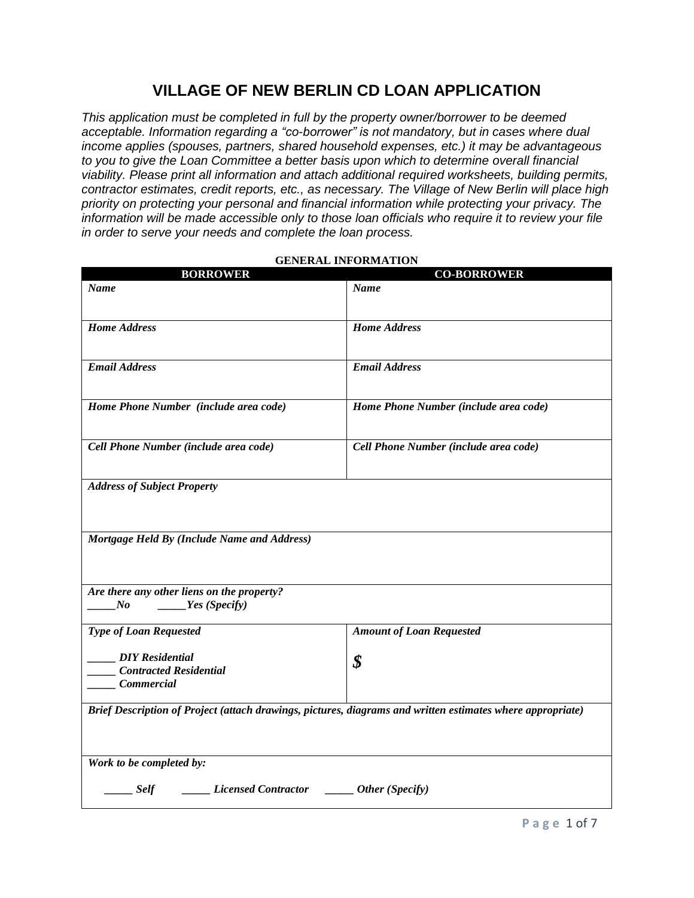# **VILLAGE OF NEW BERLIN CD LOAN APPLICATION**

*This application must be completed in full by the property owner/borrower to be deemed acceptable. Information regarding a "co-borrower" is not mandatory, but in cases where dual income applies (spouses, partners, shared household expenses, etc.) it may be advantageous to you to give the Loan Committee a better basis upon which to determine overall financial viability. Please print all information and attach additional required worksheets, building permits, contractor estimates, credit reports, etc., as necessary. The Village of New Berlin will place high priority on protecting your personal and financial information while protecting your privacy. The information will be made accessible only to those loan officials who require it to review your file in order to serve your needs and complete the loan process.*

| <b>BORROWER</b>                                                                                            | <b>CO-BORROWER</b>                    |
|------------------------------------------------------------------------------------------------------------|---------------------------------------|
| Name                                                                                                       | <b>Name</b>                           |
| <b>Home Address</b>                                                                                        | <b>Home Address</b>                   |
| <b>Email Address</b>                                                                                       | <b>Email Address</b>                  |
| Home Phone Number (include area code)                                                                      | Home Phone Number (include area code) |
| Cell Phone Number (include area code)                                                                      | Cell Phone Number (include area code) |
| <b>Address of Subject Property</b>                                                                         |                                       |
| Mortgage Held By (Include Name and Address)                                                                |                                       |
| Are there any other liens on the property?<br>Yes(Specify)<br>No                                           |                                       |
| <b>Type of Loan Requested</b>                                                                              | <b>Amount of Loan Requested</b>       |
| <b>DIY</b> Residential<br><b>Contracted Residential</b><br><b>Commercial</b>                               | \$                                    |
| Brief Description of Project (attach drawings, pictures, diagrams and written estimates where appropriate) |                                       |
| Work to be completed by:                                                                                   |                                       |
| <i>Licensed Contractor</i> <b><i>______ Other (Specify)</i></b><br><b>Self</b>                             |                                       |

#### **GENERAL INFORMATION**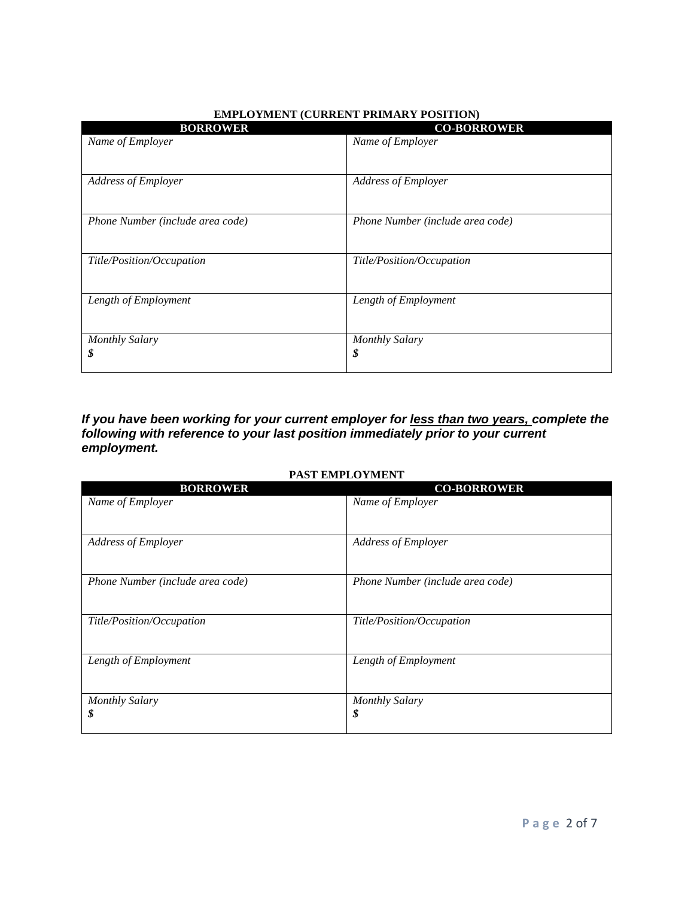| <b>BORROWER</b>                  | <b>CO-BORROWER</b>               |
|----------------------------------|----------------------------------|
| Name of Employer                 | Name of Employer                 |
| Address of Employer              | Address of Employer              |
| Phone Number (include area code) | Phone Number (include area code) |
| Title/Position/Occupation        | Title/Position/Occupation        |
| Length of Employment             | Length of Employment             |
| <b>Monthly Salary</b><br>\$      | <b>Monthly Salary</b><br>\$      |

#### **EMPLOYMENT (CURRENT PRIMARY POSITION)**

### *If you have been working for your current employer for less than two years, complete the following with reference to your last position immediately prior to your current employment.*

#### **PAST EMPLOYMENT**

| <b>BORROWER</b>                  | <b>CO-BORROWER</b>               |
|----------------------------------|----------------------------------|
| Name of Employer                 | Name of Employer                 |
|                                  |                                  |
| <b>Address of Employer</b>       | <b>Address of Employer</b>       |
|                                  |                                  |
| Phone Number (include area code) | Phone Number (include area code) |
|                                  |                                  |
| Title/Position/Occupation        | Title/Position/Occupation        |
|                                  |                                  |
| Length of Employment             | Length of Employment             |
|                                  |                                  |
| <b>Monthly Salary</b>            | <b>Monthly Salary</b>            |
| \$                               | \$                               |
|                                  |                                  |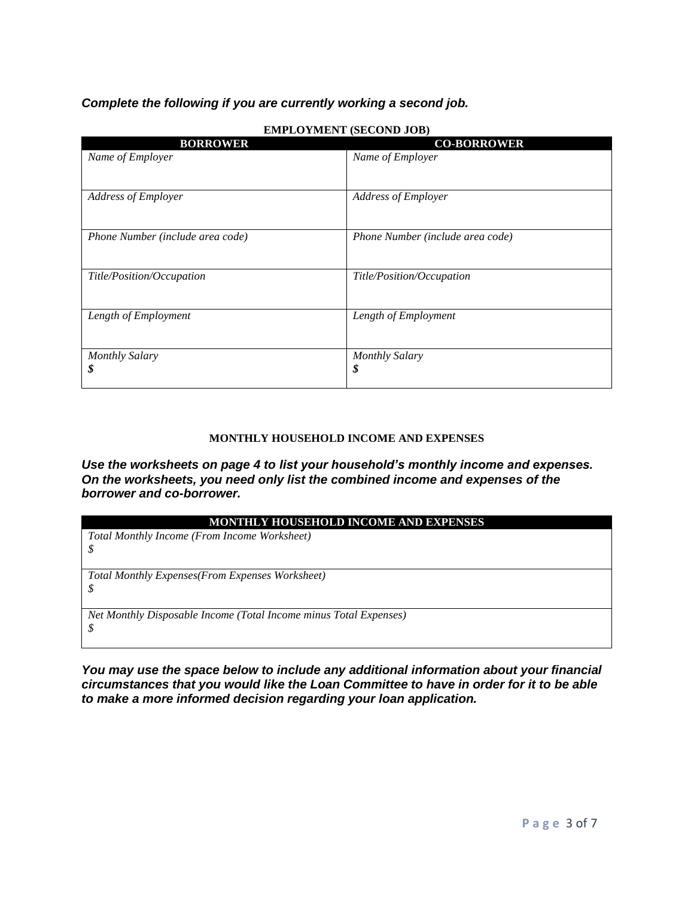### *Complete the following if you are currently working a second job.*

| <b>BORROWER</b>                  | <b>CO-BORROWER</b>               |
|----------------------------------|----------------------------------|
| Name of Employer                 | Name of Employer                 |
|                                  |                                  |
| Address of Employer              | Address of Employer              |
| Phone Number (include area code) | Phone Number (include area code) |
| Title/Position/Occupation        | Title/Position/Occupation        |
| Length of Employment             | Length of Employment             |
| <b>Monthly Salary</b><br>\$      | <b>Monthly Salary</b><br>\$      |
|                                  |                                  |

#### **EMPLOYMENT (SECOND JOB)**

#### **MONTHLY HOUSEHOLD INCOME AND EXPENSES**

*Use the worksheets on page 4 to list your household's monthly income and expenses. On the worksheets, you need only list the combined income and expenses of the borrower and co-borrower.*

| MONTHLY HOUSEHOLD INCOME AND EXPENSES                             |
|-------------------------------------------------------------------|
| Total Monthly Income (From Income Worksheet)                      |
|                                                                   |
|                                                                   |
| Total Monthly Expenses(From Expenses Worksheet)                   |
|                                                                   |
|                                                                   |
| Net Monthly Disposable Income (Total Income minus Total Expenses) |
|                                                                   |
|                                                                   |

*You may use the space below to include any additional information about your financial circumstances that you would like the Loan Committee to have in order for it to be able to make a more informed decision regarding your loan application.*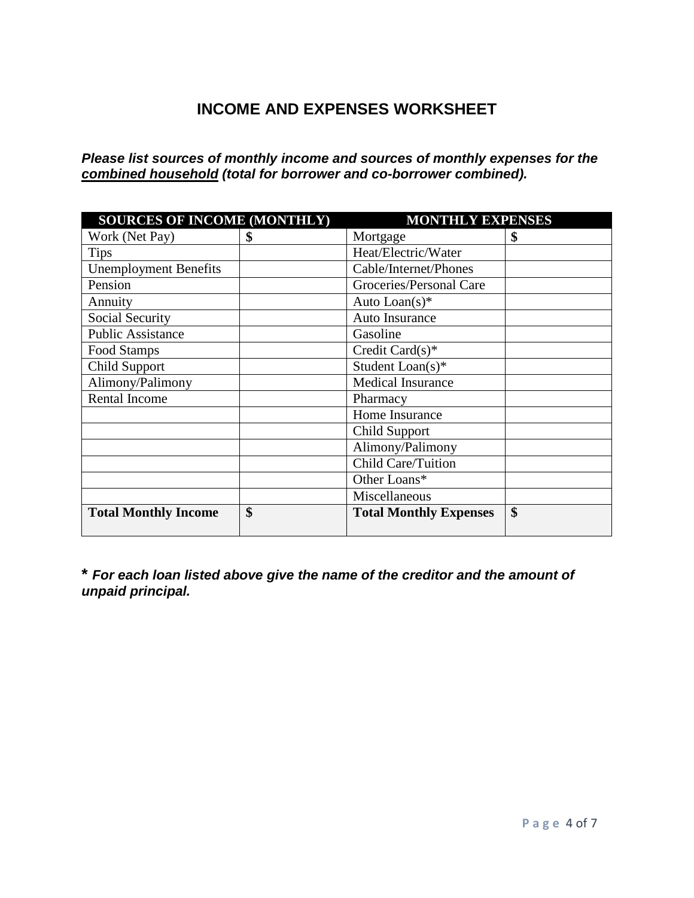# **INCOME AND EXPENSES WORKSHEET**

*Please list sources of monthly income and sources of monthly expenses for the combined household (total for borrower and co-borrower combined).*

| <b>SOURCES OF INCOME (MONTHLY)</b> |    | <b>MONTHLY EXPENSES</b>       |    |
|------------------------------------|----|-------------------------------|----|
| Work (Net Pay)                     | \$ | Mortgage                      | \$ |
| <b>Tips</b>                        |    | Heat/Electric/Water           |    |
| <b>Unemployment Benefits</b>       |    | Cable/Internet/Phones         |    |
| Pension                            |    | Groceries/Personal Care       |    |
| Annuity                            |    | Auto $Lean(s)$ *              |    |
| Social Security                    |    | Auto Insurance                |    |
| <b>Public Assistance</b>           |    | Gasoline                      |    |
| Food Stamps                        |    | Credit Card $(s)^*$           |    |
| Child Support                      |    | Student Loan(s)*              |    |
| Alimony/Palimony                   |    | <b>Medical Insurance</b>      |    |
| <b>Rental Income</b>               |    | Pharmacy                      |    |
|                                    |    | Home Insurance                |    |
|                                    |    | <b>Child Support</b>          |    |
|                                    |    | Alimony/Palimony              |    |
|                                    |    | Child Care/Tuition            |    |
|                                    |    | Other Loans*                  |    |
|                                    |    | Miscellaneous                 |    |
| <b>Total Monthly Income</b>        | \$ | <b>Total Monthly Expenses</b> | \$ |

**\*** *For each loan listed above give the name of the creditor and the amount of unpaid principal.*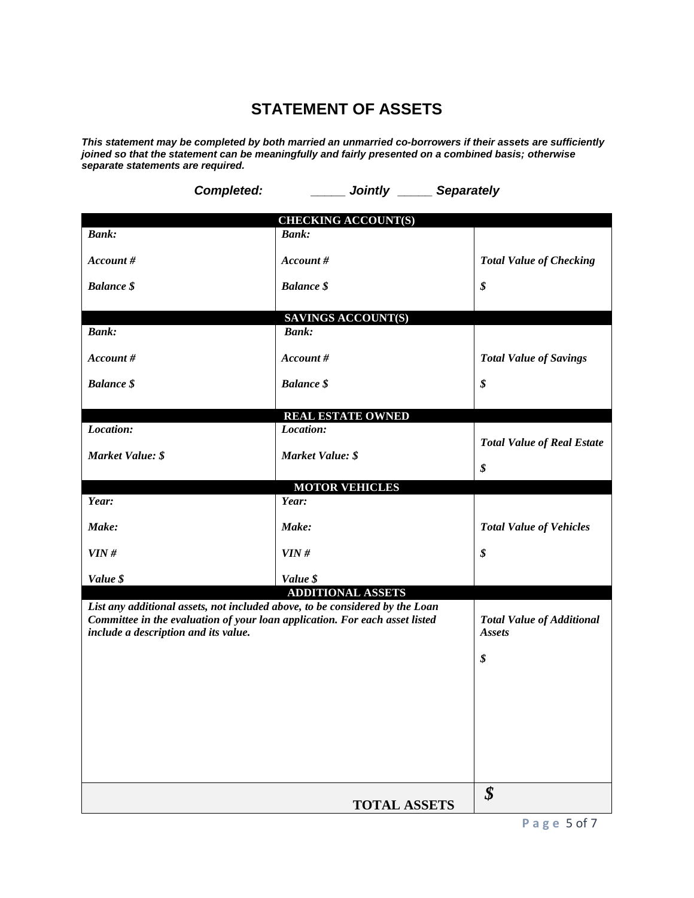# **STATEMENT OF ASSETS**

*This statement may be completed by both married an unmarried co-borrowers if their assets are sufficiently joined so that the statement can be meaningfully and fairly presented on a combined basis; otherwise separate statements are required.*

|                                                                                                                                                                                                     | <b>Completed:</b> | <b>Example 2 Separately CO</b> Separately         |                                   |  |
|-----------------------------------------------------------------------------------------------------------------------------------------------------------------------------------------------------|-------------------|---------------------------------------------------|-----------------------------------|--|
|                                                                                                                                                                                                     |                   | <b>CHECKING ACCOUNT(S)</b>                        |                                   |  |
| <b>Bank:</b>                                                                                                                                                                                        | <b>Bank:</b>      |                                                   |                                   |  |
| Account#                                                                                                                                                                                            | Account #         |                                                   | <b>Total Value of Checking</b>    |  |
| <b>Balance \$</b>                                                                                                                                                                                   | <b>Balance \$</b> |                                                   | \$                                |  |
|                                                                                                                                                                                                     |                   | SAVINGS ACCOUNT(S)                                |                                   |  |
| <b>Bank:</b>                                                                                                                                                                                        | <b>Bank:</b>      |                                                   |                                   |  |
| Account#                                                                                                                                                                                            | Account #         |                                                   | <b>Total Value of Savings</b>     |  |
| <b>Balance</b> \$                                                                                                                                                                                   | <b>Balance</b> \$ |                                                   | \$                                |  |
|                                                                                                                                                                                                     |                   | <b>REAL ESTATE OWNED</b>                          |                                   |  |
| Location:                                                                                                                                                                                           | Location:         |                                                   |                                   |  |
| Market Value: \$                                                                                                                                                                                    |                   | Market Value: \$                                  | <b>Total Value of Real Estate</b> |  |
|                                                                                                                                                                                                     |                   |                                                   | \$                                |  |
|                                                                                                                                                                                                     |                   | <b>MOTOR VEHICLES</b>                             |                                   |  |
| Year:                                                                                                                                                                                               | Year:             |                                                   |                                   |  |
| Make:                                                                                                                                                                                               | Make:             |                                                   | <b>Total Value of Vehicles</b>    |  |
| VIN#                                                                                                                                                                                                | VIN#              |                                                   | \$                                |  |
| Value \$                                                                                                                                                                                            | Value \$          |                                                   |                                   |  |
|                                                                                                                                                                                                     |                   | <b>ADDITIONAL ASSETS</b>                          |                                   |  |
| List any additional assets, not included above, to be considered by the Loan<br>Committee in the evaluation of your loan application. For each asset listed<br>include a description and its value. |                   | <b>Total Value of Additional</b><br><b>Assets</b> |                                   |  |
|                                                                                                                                                                                                     |                   |                                                   | \$                                |  |
|                                                                                                                                                                                                     |                   |                                                   |                                   |  |
|                                                                                                                                                                                                     |                   |                                                   |                                   |  |
|                                                                                                                                                                                                     |                   |                                                   |                                   |  |
|                                                                                                                                                                                                     |                   |                                                   |                                   |  |
|                                                                                                                                                                                                     |                   |                                                   |                                   |  |
|                                                                                                                                                                                                     |                   |                                                   |                                   |  |
|                                                                                                                                                                                                     |                   | <b>TOTAL ASSETS</b>                               | \$                                |  |